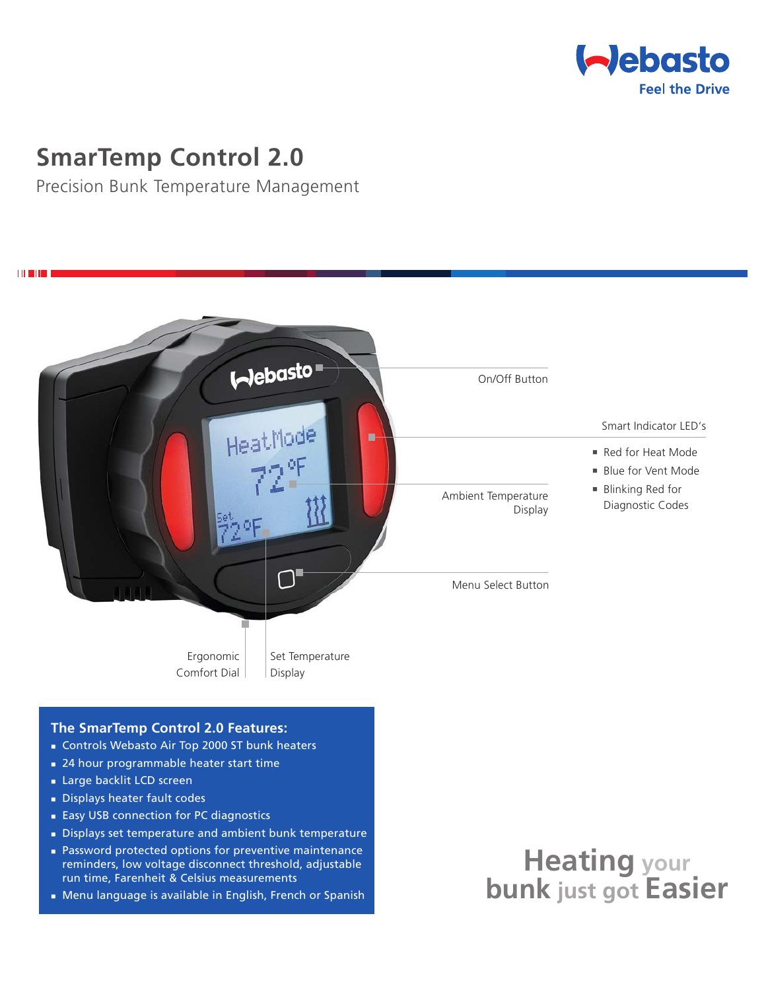

## **SmarTemp Control 2.0**

Precision Bunk Temperature Management